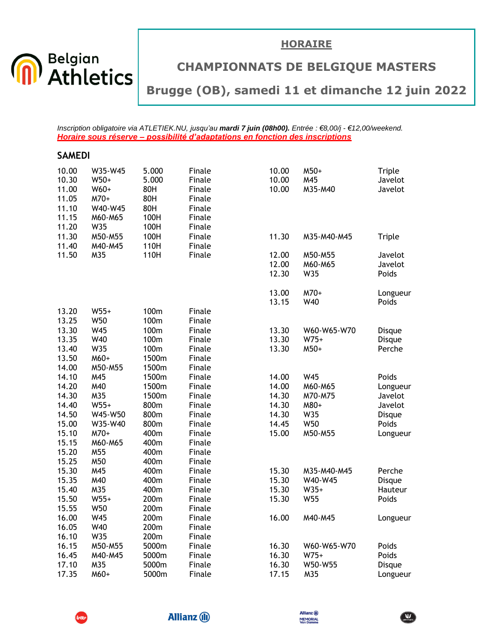



## **CHAMPIONNATS DE BELGIQUE MASTERS**

## **Brugge (OB), samedi 11 et dimanche 12 juin 2022**

*Inscription obligatoire via ATLETIEK.NU, jusqu'au mardi 7 juin (08h00). Entrée : €8,00/j - €12,00/weekend. Horaire sous réserve – possibilité d'adaptations en fonction des inscriptions*

| <b>SAMEDI</b>                                               |                                                         |                                                        |                                                                    |                                  |                                   |                                         |
|-------------------------------------------------------------|---------------------------------------------------------|--------------------------------------------------------|--------------------------------------------------------------------|----------------------------------|-----------------------------------|-----------------------------------------|
| 10.00<br>10.30<br>11.00<br>11.05<br>11.10<br>11.15          | W35-W45<br>$W50+$<br>W60+<br>M70+<br>W40-W45<br>M60-M65 | 5.000<br>5.000<br>80H<br>80H<br>80H<br>100H            | Finale<br>Finale<br>Finale<br>Finale<br>Finale<br>Finale           | 10.00<br>10.00<br>10.00          | M50+<br>M45<br>M35-M40            | Triple<br>Javelot<br>Javelot            |
| 11.20<br>11.30                                              | W35<br>M50-M55                                          | 100H<br>100H                                           | Finale<br>Finale                                                   | 11.30                            | M35-M40-M45                       | Triple                                  |
| 11.40<br>11.50                                              | M40-M45<br>M35                                          | 110H<br>110H                                           | Finale<br>Finale                                                   | 12.00<br>12.00<br>12.30          | M50-M55<br>M60-M65<br>W35         | Javelot<br>Javelot<br>Poids             |
|                                                             |                                                         |                                                        |                                                                    | 13.00<br>13.15                   | M70+<br>W40                       | Longueur<br>Poids                       |
| 13.20<br>13.25<br>13.30<br>13.35<br>13.40<br>13.50<br>14.00 | $W55+$<br>W50<br>W45<br>W40<br>W35<br>M60+<br>M50-M55   | 100m<br>100m<br>100m<br>100m<br>100m<br>1500m<br>1500m | Finale<br>Finale<br>Finale<br>Finale<br>Finale<br>Finale<br>Finale | 13.30<br>13.30<br>13.30          | W60-W65-W70<br>$W75+$<br>M50+     | Disque<br>Disque<br>Perche              |
| 14.10<br>14.20<br>14.30<br>14.40                            | M45<br>M40<br>M35<br>$W55+$                             | 1500m<br>1500m<br>1500m<br>800m                        | Finale<br>Finale<br>Finale<br>Finale                               | 14.00<br>14.00<br>14.30<br>14.30 | W45<br>M60-M65<br>M70-M75<br>M80+ | Poids<br>Longueur<br>Javelot<br>Javelot |
| 14.50<br>15.00<br>15.10<br>15.15                            | W45-W50<br>W35-W40<br>M70+<br>M60-M65                   | 800m<br>800m<br>400m<br>400m                           | Finale<br>Finale<br>Finale<br>Finale                               | 14.30<br>14.45<br>15.00          | W35<br>W50<br>M50-M55             | Disque<br>Poids<br>Longueur             |
| 15.20<br>15.25<br>15.30                                     | M55<br>M50<br>M45                                       | 400m<br>400m<br>400m                                   | Finale<br>Finale<br>Finale                                         | 15.30                            | M35-M40-M45                       | Perche                                  |
| 15.35<br>15.40<br>15.50<br>15.55                            | M40<br>M35<br>$W55+$<br>W50                             | 400m<br>400m<br>200m<br>200m                           | Finale<br>Finale<br>Finale<br>Finale                               | 15.30<br>15.30<br>15.30          | W40-W45<br>$W35+$<br>W55          | Disque<br>Hauteur<br>Poids              |
| 16.00<br>16.05<br>16.10                                     | W45<br>W40<br>W35                                       | 200m<br>200m<br>200m                                   | Finale<br>Finale<br>Finale                                         | 16.00                            | M40-M45                           | Longueur                                |
| 16.15<br>16.45<br>17.10                                     | M50-M55<br>M40-M45<br>M35                               | 5000m<br>5000m<br>5000m                                | Finale<br>Finale<br>Finale                                         | 16.30<br>16.30<br>16.30          | W60-W65-W70<br>$W75+$<br>W50-W55  | Poids<br>Poids<br>Disque                |
| 17.35                                                       | M60+                                                    | 5000m                                                  | Finale                                                             | 17.15                            | M35                               | Longueur                                |